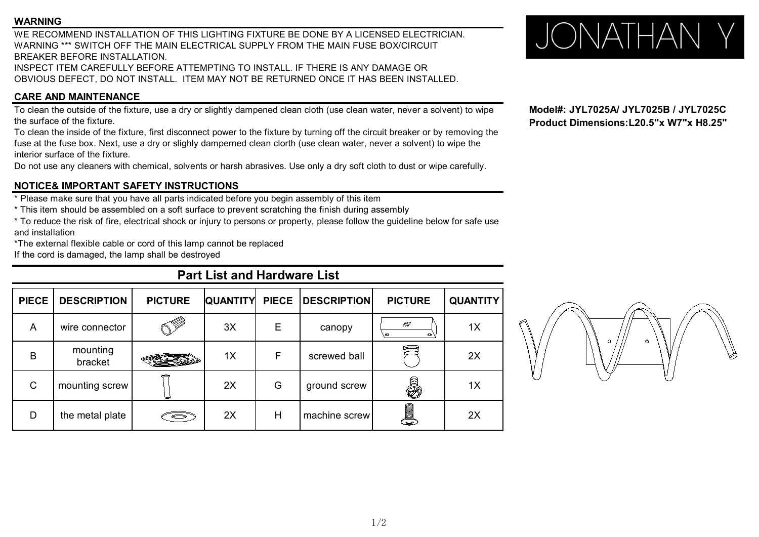### **WARNING**

WE RECOMMEND INSTALLATION OF THIS LIGHTING FIXTURE BE DONE BY A LICENSED ELECTRICIAN. WARNING TRECOMMEND INSTALLATION OF THIS LIGHTING FIXTURE BE DONE BY A LICENSED ELECTRICIAN.<br>WARNING \*\*\* SWITCH OFF THE MAIN ELECTRICAL SUPPLY FROM THE MAIN FUSE BOX/CIRCUIT BREAKER BEFORE INSTALLATION.

INSPECT ITEM CAREFULLY BEFORE ATTEMPTING TO INSTALL. IF THERE IS ANY DAMAGE OR OBVIOUS DEFECT, DO NOT INSTALL. ITEM MAY NOT BE RETURNED ONCE IT HAS BEEN INSTALLED.

## **CARE AND MAINTENANCE**

To clean the outside of the fixture, use a dry or slightly dampened clean cloth (use clean water, never a solvent) to wipe **Model#: JYL7025A/ JYL7025B / JYL7025C**<br>Product Dimensions:L20.5"x W7"x H8.25" the surface of the fixture.

To clean the inside of the fixture, first disconnect power to the fixture by turning off the circuit breaker or by removing the fuse at the fuse box. Next, use a dry or slighly damperned clean clorth (use clean water, never a solvent) to wipe the interior surface of the fixture.

Do not use any cleaners with chemical, solvents or harsh abrasives. Use only a dry soft cloth to dust or wipe carefully.

## **NOTICE& IMPORTANT SAFETY INSTRUCTIONS**

\* Please make sure that you have all parts indicated before you begin assembly of this item

\* This item should be assembled on a soft surface to prevent scratching the finish during assembly

\* To reduce the risk of fire, electrical shock or injury to persons or property, please follow the guideline below for safe use and installation

\*The external flexible cable or cord of this lamp cannot be replaced

If the cord is damaged, the lamp shall be destroyed

# **Part List and Hardware List**

| <b>PIECE</b> | <b>DESCRIPTION</b>  | <b>PICTURE</b>     | <b>QUANTITY</b> |   | PIECE   DESCRIPTION | <b>PICTURE</b>        | <b>QUANTITY</b> |         |
|--------------|---------------------|--------------------|-----------------|---|---------------------|-----------------------|-----------------|---------|
| A            | wire connector      | . ( <sup>Z</sup> V | 3X              | Е | canopy              | WV<br>o               | 1X              |         |
| B            | mounting<br>bracket |                    | 1X              | F | screwed ball        | É                     | 2X              | $\circ$ |
| C            | mounting screw      |                    | 2X              | G | ground screw        | ð.                    | 1X              |         |
| D            | the metal plate     | S                  | 2X              | Н | machine screw       | <b>Allege Section</b> | 2X              |         |

**Model#: JYL7025A/ JYL7025B / JYL7025C**